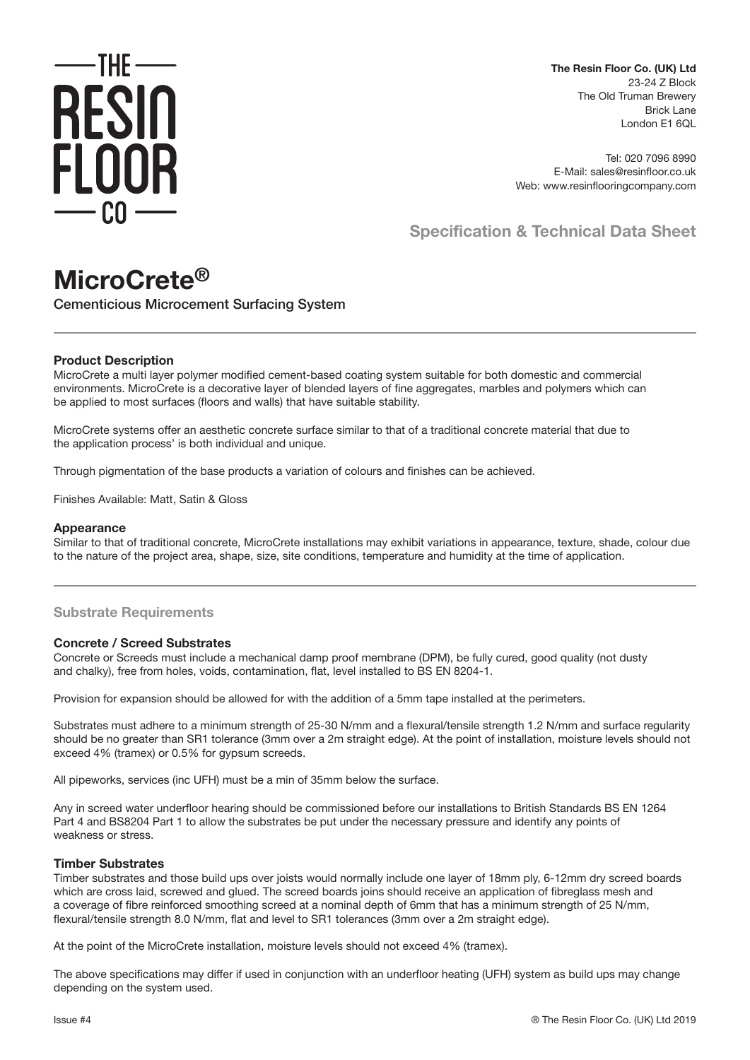

**The Resin Floor Co. (UK) Ltd** 23-24 Z Block The Old Truman Brewery Brick Lane London E1 6QL

Tel: 020 7096 8990 E-Mail: sales@resinfloor.co.uk Web: www.resinflooringcompany.com

**Specification & Technical Data Sheet**

# **MicroCrete®**

Cementicious Microcement Surfacing System

## **Product Description**

MicroCrete a multi layer polymer modified cement-based coating system suitable for both domestic and commercial environments. MicroCrete is a decorative layer of blended layers of fine aggregates, marbles and polymers which can be applied to most surfaces (floors and walls) that have suitable stability.

MicroCrete systems offer an aesthetic concrete surface similar to that of a traditional concrete material that due to the application process' is both individual and unique.

Through pigmentation of the base products a variation of colours and finishes can be achieved.

Finishes Available: Matt, Satin & Gloss

#### **Appearance**

Similar to that of traditional concrete, MicroCrete installations may exhibit variations in appearance, texture, shade, colour due to the nature of the project area, shape, size, site conditions, temperature and humidity at the time of application.

## **Substrate Requirements**

## **Concrete / Screed Substrates**

Concrete or Screeds must include a mechanical damp proof membrane (DPM), be fully cured, good quality (not dusty and chalky), free from holes, voids, contamination, flat, level installed to BS EN 8204-1.

Provision for expansion should be allowed for with the addition of a 5mm tape installed at the perimeters.

Substrates must adhere to a minimum strength of 25-30 N/mm and a flexural/tensile strength 1.2 N/mm and surface regularity should be no greater than SR1 tolerance (3mm over a 2m straight edge). At the point of installation, moisture levels should not exceed 4% (tramex) or 0.5% for gypsum screeds.

All pipeworks, services (inc UFH) must be a min of 35mm below the surface.

Any in screed water underfloor hearing should be commissioned before our installations to British Standards BS EN 1264 Part 4 and BS8204 Part 1 to allow the substrates be put under the necessary pressure and identify any points of weakness or stress.

## **Timber Substrates**

Timber substrates and those build ups over joists would normally include one layer of 18mm ply, 6-12mm dry screed boards which are cross laid, screwed and glued. The screed boards joins should receive an application of fibreglass mesh and a coverage of fibre reinforced smoothing screed at a nominal depth of 6mm that has a minimum strength of 25 N/mm, flexural/tensile strength 8.0 N/mm, flat and level to SR1 tolerances (3mm over a 2m straight edge).

At the point of the MicroCrete installation, moisture levels should not exceed 4% (tramex).

The above specifications may differ if used in conjunction with an underfloor heating (UFH) system as build ups may change depending on the system used.